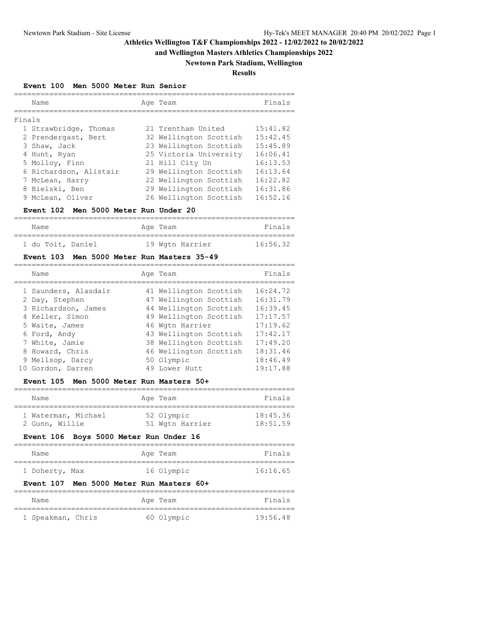## **and Wellington Masters Athletics Championships 2022**

## **Newtown Park Stadium, Wellington**

## **Results**

#### **Event 100 Men 5000 Meter Run Senior**

|        | Name                   | Age Team               | Finals   |
|--------|------------------------|------------------------|----------|
| Finals |                        |                        |          |
|        | 1 Strawbridge, Thomas  | 21 Trentham United     | 15:41.82 |
|        | 2 Prendergast, Bert    | 32 Wellington Scottish | 15:42.45 |
|        | 3 Shaw, Jack           | 23 Wellington Scottish | 15:45.89 |
|        | 4 Hunt, Ryan           | 25 Victoria University | 16:06.41 |
|        | 5 Molloy, Finn         | 21 Hill City Un        | 16:13.53 |
|        | 6 Richardson, Alistair | 29 Wellington Scottish | 16:13.64 |
|        | 7 McLean, Harry        | 22 Wellington Scottish | 16:22.82 |
|        | 8 Bielski, Ben         | 29 Wellington Scottish | 16:31.86 |
|        | 9 McLean, Oliver       | 26 Wellington Scottish | 16:52.16 |
|        |                        |                        |          |

#### **Event 102 Men 5000 Meter Run Under 20**

| Name              |  | Age Team |                 | Finals   |
|-------------------|--|----------|-----------------|----------|
| 1 du Toit, Daniel |  |          | 19 Wgtn Harrier | 16:56.32 |

#### **Event 103 Men 5000 Meter Run Masters 35-49**

| Name                 | Age Team               | Finals   |
|----------------------|------------------------|----------|
| 1 Saunders, Alasdair | 41 Wellington Scottish | 16:24.72 |
| 2 Day, Stephen       | 47 Wellington Scottish | 16:31.79 |
| 3 Richardson, James  | 44 Wellington Scottish | 16:39.45 |
| 4 Keller, Simon      | 49 Wellington Scottish | 17:17.57 |
| 5 Waite, James       | 46 Wgtn Harrier        | 17:19.62 |
| 6 Ford, Andy         | 43 Wellington Scottish | 17:42.17 |
| 7 White, Jamie       | 38 Wellington Scottish | 17:49.20 |
| 8 Howard, Chris      | 46 Wellington Scottish | 18:31.46 |
| 9 Mellsop, Darcy     | 50 Olympic             | 18:46.49 |
| 10 Gordon, Darren    | 49 Lower Hutt          | 19:17.88 |

#### **Event 105 Men 5000 Meter Run Masters 50+**

| Name                | Age Team        | Finals   |
|---------------------|-----------------|----------|
| 1 Waterman, Michael | 52 Olympic      | 18:45.36 |
| 2 Gunn, Willie      | 51 Wgtn Harrier | 18:51.59 |

## **Event 106 Boys 5000 Meter Run Under 16**

| Name           | Age Team   | Finals   |
|----------------|------------|----------|
|                |            |          |
| 1 Doherty, Max | 16 Olympic | 16:16.65 |

## **Event 107 Men 5000 Meter Run Masters 60+**

| Name              | Age Team   | Finals   |
|-------------------|------------|----------|
| 1 Speakman, Chris | 60 Olympic | 19:56.48 |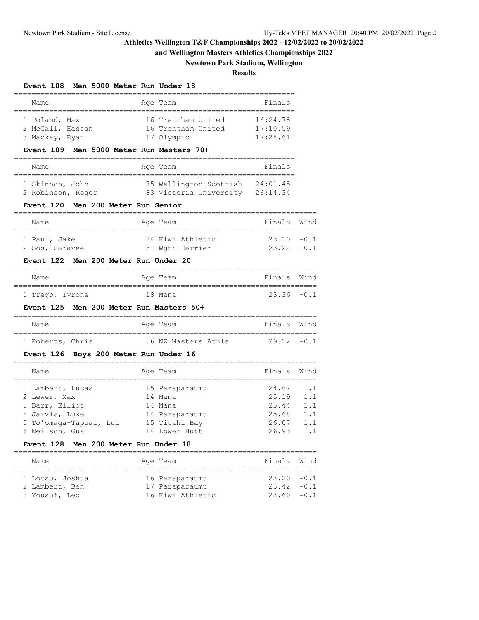**and Wellington Masters Athletics Championships 2022**

## **Newtown Park Stadium, Wellington**

#### **Results**

#### **Event 108 Men 5000 Meter Run Under 18**

| Name             |  |  | Age Team           |  | Finals   |  |  |  |
|------------------|--|--|--------------------|--|----------|--|--|--|
|                  |  |  |                    |  |          |  |  |  |
| 1 Poland, Max    |  |  | 16 Trentham United |  | 16:24.78 |  |  |  |
| 2 McCall, Hassan |  |  | 16 Trentham United |  | 17:10.59 |  |  |  |
| 3 Mackay, Ryan   |  |  | 17 Olympic         |  | 17:28.61 |  |  |  |

## **Event 109 Men 5000 Meter Run Masters 70+**

| Name              | Age Team               | Finals   |
|-------------------|------------------------|----------|
| 1 Skinnon, John   | 75 Wellington Scottish | 24:01.45 |
| 2 Robinson, Roger | 83 Victoria University | 26:14.34 |

#### **Event 120 Men 200 Meter Run Senior**

| Name           |  | Age Team |                  | Finals Wind   |  |  |  |
|----------------|--|----------|------------------|---------------|--|--|--|
|                |  |          |                  |               |  |  |  |
| 1 Paul, Jake   |  |          | 24 Kiwi Athletic | $23.10 - 0.1$ |  |  |  |
| 2 Sos, Saravee |  |          | 31 Wgtn Harrier  | $23.22 - 0.1$ |  |  |  |

#### **Event 122 Men 200 Meter Run Under 20**

| Name            | Age Team | Finals Wind   |  |
|-----------------|----------|---------------|--|
|                 |          |               |  |
| 1 Trego, Tyrone | 18 Mana  | $23.36 - 0.1$ |  |

#### **Event 125 Men 200 Meter Run Masters 50+**

| Name             | Age Team |                     | Finals Wind   |  |
|------------------|----------|---------------------|---------------|--|
|                  |          |                     |               |  |
| 1 Roberts, Chris |          | 56 NZ Masters Athle | $29.12 - 0.1$ |  |

## **Event 126 Boys 200 Meter Run Under 16**

| Name                   | Age Team       | Finals | Wind |
|------------------------|----------------|--------|------|
| 1 Lambert, Lucas       | 15 Paraparaumu | 24.62  | 1.1  |
| 2 Lewer, Max           | 14 Mana        | 25.19  | 1.1  |
| 3 Barr, Elliot         | 14 Mana        | 25.44  | 1.1  |
| 4 Jarvis, Luke         | 14 Paraparaumu | 25.68  | 1.1  |
| 5 To'omaga-Tapuai, Lui | 15 Titahi Bay  | 26.07  | 1.1  |
| 6 Neilson, Gus         | 14 Lower Hutt  | 26.93  | 1.1  |
|                        |                |        |      |

# **Event 128 Men 200 Meter Run Under 18**

| Name                              | Age Team                         | Finals Wind                    |  |
|-----------------------------------|----------------------------------|--------------------------------|--|
| 1 Lotsu, Joshua<br>2 Lambert, Ben | 16 Paraparaumu<br>17 Paraparaumu | $23.20 - 0.1$<br>$23.42 - 0.1$ |  |
| 3 Yousuf, Leo                     | 16 Kiwi Athletic                 | $23.60 - 0.1$                  |  |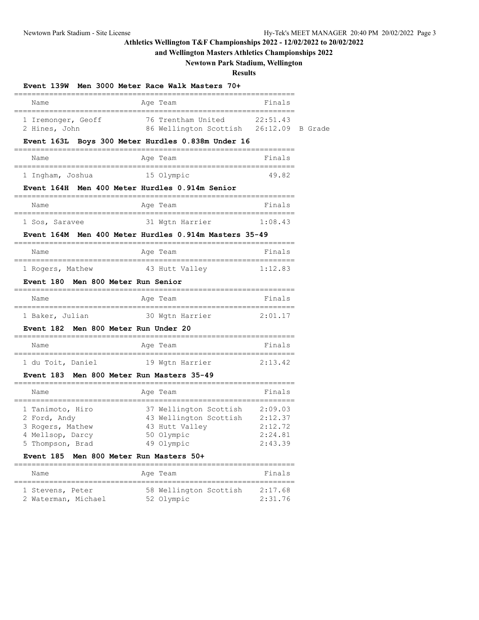# **and Wellington Masters Athletics Championships 2022**

# **Newtown Park Stadium, Wellington**

## **Results**

| Age Team<br>Finals<br>Name<br>76 Trentham United 22:51.43<br>86 Wellington Scottish 26:12.09 B Grade<br>1 Iremonger, Geoff<br>2 Hines, John<br>Event 163L Boys 300 Meter Hurdles 0.838m Under 16<br>Name<br>Age Team<br>Finals<br>1 Ingham, Joshua 15 Olympic<br>49.82<br>Event 164H Men 400 Meter Hurdles 0.914m Senior<br>Age Team<br>Finals<br>Name<br>31 Wgtn Harrier<br>1:08.43<br>1 Sos, Saravee<br>Event 164M Men 400 Meter Hurdles 0.914m Masters 35-49<br>Finals<br>Name<br>Age Team<br>1 Rogers, Mathew 43 Hutt Valley<br>1:12.83<br>Event 180 Men 800 Meter Run Senior<br>Finals<br>Name<br>Aqe Team<br>30 Wgtn Harrier<br>2:01.17<br>1 Baker, Julian<br>Event 182 Men 800 Meter Run Under 20<br>Finals<br>Age Team<br>Name |  |
|----------------------------------------------------------------------------------------------------------------------------------------------------------------------------------------------------------------------------------------------------------------------------------------------------------------------------------------------------------------------------------------------------------------------------------------------------------------------------------------------------------------------------------------------------------------------------------------------------------------------------------------------------------------------------------------------------------------------------------------|--|
|                                                                                                                                                                                                                                                                                                                                                                                                                                                                                                                                                                                                                                                                                                                                        |  |
|                                                                                                                                                                                                                                                                                                                                                                                                                                                                                                                                                                                                                                                                                                                                        |  |
|                                                                                                                                                                                                                                                                                                                                                                                                                                                                                                                                                                                                                                                                                                                                        |  |
|                                                                                                                                                                                                                                                                                                                                                                                                                                                                                                                                                                                                                                                                                                                                        |  |
|                                                                                                                                                                                                                                                                                                                                                                                                                                                                                                                                                                                                                                                                                                                                        |  |
|                                                                                                                                                                                                                                                                                                                                                                                                                                                                                                                                                                                                                                                                                                                                        |  |
|                                                                                                                                                                                                                                                                                                                                                                                                                                                                                                                                                                                                                                                                                                                                        |  |
|                                                                                                                                                                                                                                                                                                                                                                                                                                                                                                                                                                                                                                                                                                                                        |  |
|                                                                                                                                                                                                                                                                                                                                                                                                                                                                                                                                                                                                                                                                                                                                        |  |
|                                                                                                                                                                                                                                                                                                                                                                                                                                                                                                                                                                                                                                                                                                                                        |  |
|                                                                                                                                                                                                                                                                                                                                                                                                                                                                                                                                                                                                                                                                                                                                        |  |
|                                                                                                                                                                                                                                                                                                                                                                                                                                                                                                                                                                                                                                                                                                                                        |  |
|                                                                                                                                                                                                                                                                                                                                                                                                                                                                                                                                                                                                                                                                                                                                        |  |
|                                                                                                                                                                                                                                                                                                                                                                                                                                                                                                                                                                                                                                                                                                                                        |  |
|                                                                                                                                                                                                                                                                                                                                                                                                                                                                                                                                                                                                                                                                                                                                        |  |
|                                                                                                                                                                                                                                                                                                                                                                                                                                                                                                                                                                                                                                                                                                                                        |  |
| 1 du Toit, Daniel 19 Wgtn Harrier<br>2:13.42                                                                                                                                                                                                                                                                                                                                                                                                                                                                                                                                                                                                                                                                                           |  |
| Event 183 Men 800 Meter Run Masters 35-49                                                                                                                                                                                                                                                                                                                                                                                                                                                                                                                                                                                                                                                                                              |  |
| Finals<br>Name<br>Age Team                                                                                                                                                                                                                                                                                                                                                                                                                                                                                                                                                                                                                                                                                                             |  |
| 37 Wellington Scottish 2:09.03<br>1 Tanimoto, Hiro<br>43 Wellington Scottish 2:12.37<br>2 Ford, Andy                                                                                                                                                                                                                                                                                                                                                                                                                                                                                                                                                                                                                                   |  |
| 3 Rogers, Mathew 43 Hutt Val<br>4 Mellsop, Darcy 50 Olympic<br>43 Hutt Valley<br>50 Olympic<br>2:12.72<br>2:24.81                                                                                                                                                                                                                                                                                                                                                                                                                                                                                                                                                                                                                      |  |
| 5 Thompson, Brad 49 Olympic<br>2:43.39                                                                                                                                                                                                                                                                                                                                                                                                                                                                                                                                                                                                                                                                                                 |  |

| Name                                    |  | Age Team                             | Finals             |
|-----------------------------------------|--|--------------------------------------|--------------------|
| 1 Stevens, Peter<br>2 Waterman, Michael |  | 58 Wellington Scottish<br>52 Olympic | 2:17.68<br>2:31.76 |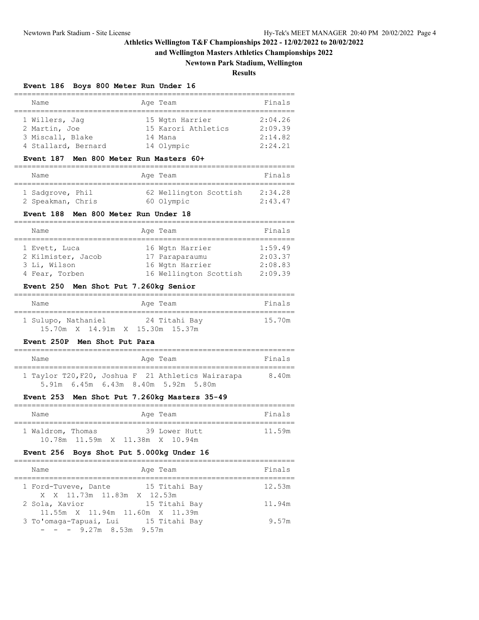**and Wellington Masters Athletics Championships 2022**

## **Newtown Park Stadium, Wellington**

**Results**

## **Event 186 Boys 800 Meter Run Under 16**

| Name                | Age Team            | Finals  |
|---------------------|---------------------|---------|
|                     |                     |         |
| 1 Willers, Jaq      | 15 Wgtn Harrier     | 2:04.26 |
| 2 Martin, Joe       | 15 Karori Athletics | 2:09.39 |
| 3 Miscall, Blake    | 14 Mana             | 2:14.82 |
| 4 Stallard, Bernard | 14 Olympic          | 2:24.21 |

#### **Event 187 Men 800 Meter Run Masters 60+**

| Name              |  | Age Team               | Finals  |
|-------------------|--|------------------------|---------|
| 1 Sadgrove, Phil  |  | 62 Wellington Scottish | 2:34.28 |
| 2 Speakman, Chris |  | 60 Olympic             | 2:43.47 |

#### **Event 188 Men 800 Meter Run Under 18**

| Name               | Age Team               | Finals  |
|--------------------|------------------------|---------|
|                    |                        |         |
| 1 Evett, Luca      | 16 Wgtn Harrier        | 1:59.49 |
| 2 Kilmister, Jacob | 17 Paraparaumu         | 2:03.37 |
| 3 Li, Wilson       | 16 Wgtn Harrier        | 2:08.83 |
| 4 Fear, Torben     | 16 Wellington Scottish | 2:09.39 |

#### **Event 250 Men Shot Put 7.260kg Senior**

| Name                            | Age Team      | Finals |
|---------------------------------|---------------|--------|
| 1 Sulupo, Nathaniel             | 24 Titahi Bay | 15.70m |
| 15.70m X 14.91m X 15.30m 15.37m |               |        |

### **Event 250P Men Shot Put Para**

| Name |  | Age Team                            |                                                    | Finals |
|------|--|-------------------------------------|----------------------------------------------------|--------|
|      |  |                                     | 1 Taylor T20, F20, Joshua F 21 Athletics Wairarapa | 8.40m  |
|      |  | 5.91m 6.45m 6.43m 8.40m 5.92m 5.80m |                                                    |        |

#### **Event 253 Men Shot Put 7.260kg Masters 35-49**

| Name              |  | Age Team      |  | Finals |
|-------------------|--|---------------|--|--------|
| 1 Waldrom, Thomas |  | 39 Lower Hutt |  | 11.59m |

#### **Event 256 Boys Shot Put 5.000kg Under 16**

| Name<br>Age Team                                                    | Finals |
|---------------------------------------------------------------------|--------|
| 15 Titahi Bay<br>1 Ford-Tuveve, Dante<br>X X 11.73m 11.83m X 12.53m | 12.53m |
| 15 Titahi Bay<br>2 Sola, Xavior<br>11.55m X 11.94m 11.60m X 11.39m  | 11.94m |
| 3 To'omaga-Tapuai, Lui 15 Titahi Bay<br>$- - - 9.27$ m 8.53m 9.57m  | 9.57m  |
|                                                                     |        |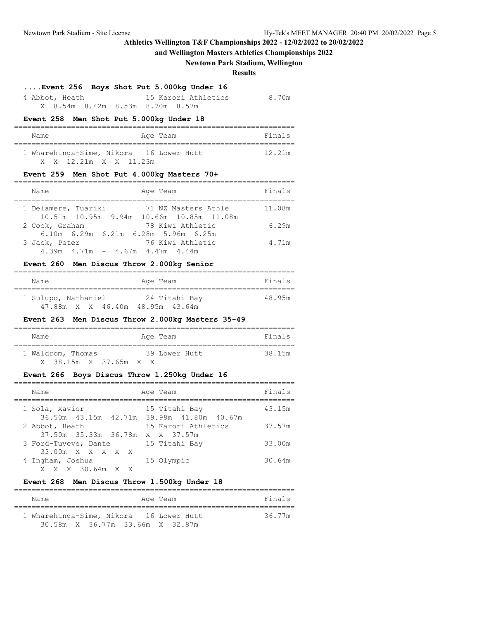**and Wellington Masters Athletics Championships 2022**

#### **Newtown Park Stadium, Wellington**

#### **Results**

#### **....Event 256 Boys Shot Put 5.000kg Under 16**

| 4 Abbot, Heath |  |                                 | 15 Karori Athletics | 8.70m |
|----------------|--|---------------------------------|---------------------|-------|
|                |  | X 8.54m 8.42m 8.53m 8.70m 8.57m |                     |       |

#### **Event 258 Men Shot Put 5.000kg Under 18**

| Name                                    | Age Team | Finals |
|-----------------------------------------|----------|--------|
| 1 Wharehinga-Sime, Nikora 16 Lower Hutt |          | 12.21m |
| X X 12.21m X X 11.23m                   |          |        |

#### **Event 259 Men Shot Put 4.000kg Masters 70+**

| Age Team<br>Name                                                                       | Finals |
|----------------------------------------------------------------------------------------|--------|
| 1 Delamere, Tuariki<br>71 NZ Masters Athle<br>10.51m 10.95m 9.94m 10.66m 10.85m 11.08m | 11.08m |
| 78 Kiwi Athletic<br>2 Cook, Graham                                                     | 6.29m  |
| 6.10m 6.29m 6.21m 6.28m 5.96m 6.25m<br>76 Kiwi Athletic<br>3 Jack, Peter               | 4.71m  |
| $4.39m$ $4.71m$ $ 4.67m$ $4.47m$ $4.44m$                                               |        |

#### **Event 260 Men Discus Throw 2.000kg Senior**

| Name                            | Age Team      | Finals |
|---------------------------------|---------------|--------|
| 1 Sulupo, Nathaniel             | 24 Titahi Bay | 48.95m |
| 47.88m X X 46.40m 48.95m 43.64m |               |        |

#### **Event 263 Men Discus Throw 2.000kg Masters 35-49**

| Name              |     | Age Team      | Finals |
|-------------------|-----|---------------|--------|
| 1 Waldrom, Thomas |     | 39 Lower Hutt | 38.15m |
| X 38.15m X 37.65m | X X |               |        |

#### **Event 266 Boys Discus Throw 1.250kg Under 16**

| Name                                              | Age Team                                                   | Finals |
|---------------------------------------------------|------------------------------------------------------------|--------|
| 1 Sola, Xavior                                    | 15 Titahi Bay<br>36.50m 43.15m 42.71m 39.98m 41.80m 40.67m | 43.15m |
| 2 Abbot, Heath<br>37.50m 35.33m 36.78m X X 37.57m | 15 Karori Athletics                                        | 37.57m |
| 3 Ford-Tuveve, Dante<br>33.00m X X X X X          | 15 Titahi Bay                                              | 33.00m |
| 4 Ingham, Joshua<br>X X X 30.64m X X              | 15 Olympic                                                 | 30.64m |

## **Event 268 Men Discus Throw 1.500kg Under 18**

| Name                                    | Age Team | Finals |
|-----------------------------------------|----------|--------|
| 1 Wharehinga-Sime, Nikora 16 Lower Hutt |          | 36.77m |
| 30.58m X 36.77m 33.66m X 32.87m         |          |        |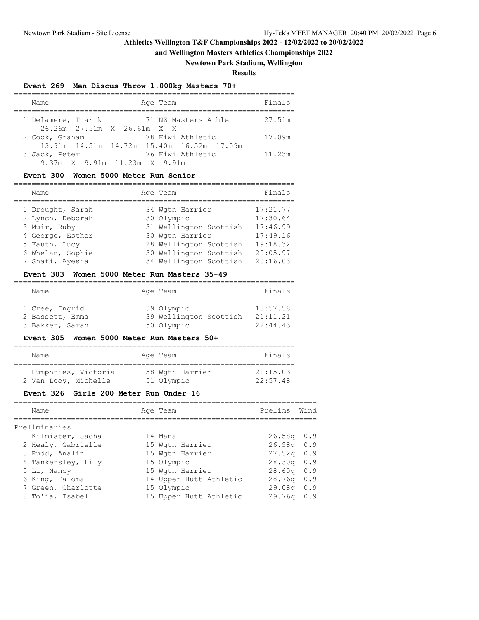## **and Wellington Masters Athletics Championships 2022**

## **Newtown Park Stadium, Wellington**

**Results**

## **Event 269 Men Discus Throw 1.000kg Masters 70+**

| Age Team<br>Name                                                                | Finals |
|---------------------------------------------------------------------------------|--------|
| 1 Delamere, Tuariki<br>71 NZ Masters Athle<br>26.26m 27.51m X 26.61m X X        | 27.51m |
| 78 Kiwi Athletic<br>2 Cook, Graham<br>13.91m 14.51m 14.72m 15.40m 16.52m 17.09m | 17.09m |
| 76 Kiwi Athletic<br>3 Jack, Peter                                               | 11.23m |
| 9.37m X 9.91m 11.23m X 9.91m                                                    |        |

#### **Event 300 Women 5000 Meter Run Senior**

| Name             | Age Team               | Finals   |
|------------------|------------------------|----------|
| 1 Drought, Sarah | 34 Wgtn Harrier        | 17:21.77 |
| 2 Lynch, Deborah | 30 Olympic             | 17:30.64 |
| 3 Muir, Ruby     | 31 Wellington Scottish | 17:46.99 |
| 4 George, Esther | 30 Wgtn Harrier        | 17:49.16 |
| 5 Fauth, Lucy    | 28 Wellington Scottish | 19:18.32 |
| 6 Whelan, Sophie | 30 Wellington Scottish | 20:05.97 |
| 7 Shafi, Ayesha  | 34 Wellington Scottish | 20:16.03 |

#### **Event 303 Women 5000 Meter Run Masters 35-49**

| Name            | Age Team               | Finals   |
|-----------------|------------------------|----------|
|                 |                        |          |
| 1 Cree, Ingrid  | 39 Olympic             | 18:57.58 |
| 2 Bassett, Emma | 39 Wellington Scottish | 21:11.21 |
| 3 Bakker, Sarah | 50 Olympic             | 22:44.43 |

#### **Event 305 Women 5000 Meter Run Masters 50+**

| Name                  | Age Team        | Finals   |
|-----------------------|-----------------|----------|
| 1 Humphries, Victoria | 58 Wgtn Harrier | 21:15.03 |
| 2 Van Looy, Michelle  | 51 Olympic      | 22:57.48 |

#### **Event 326 Girls 200 Meter Run Under 16**

| Name |                                                                                                                                                                             | Prelims Wind                                                                                                                                                 |     |
|------|-----------------------------------------------------------------------------------------------------------------------------------------------------------------------------|--------------------------------------------------------------------------------------------------------------------------------------------------------------|-----|
|      |                                                                                                                                                                             |                                                                                                                                                              |     |
|      |                                                                                                                                                                             |                                                                                                                                                              |     |
|      |                                                                                                                                                                             | $26.58q$ 0.9                                                                                                                                                 |     |
|      |                                                                                                                                                                             | 26.98q 0.9                                                                                                                                                   |     |
|      |                                                                                                                                                                             | $27.52q$ 0.9                                                                                                                                                 |     |
|      |                                                                                                                                                                             | $28.30q$ 0.9                                                                                                                                                 |     |
|      |                                                                                                                                                                             | $28.60q$ 0.9                                                                                                                                                 |     |
|      |                                                                                                                                                                             | $28.76q$ 0.9                                                                                                                                                 |     |
|      |                                                                                                                                                                             | 29.08q                                                                                                                                                       | 0.9 |
|      |                                                                                                                                                                             | 29.76q                                                                                                                                                       | 0.9 |
|      | Preliminaries<br>1 Kilmister, Sacha<br>2 Healy, Gabrielle<br>3 Rudd, Analin<br>4 Tankersley, Lily<br>5 Li, Nancy<br>6 King, Paloma<br>7 Green, Charlotte<br>8 To'ia, Isabel | Age Team<br>14 Mana<br>15 Wgtn Harrier<br>15 Wgtn Harrier<br>15 Olympic<br>15 Wgtn Harrier<br>14 Upper Hutt Athletic<br>15 Olympic<br>15 Upper Hutt Athletic |     |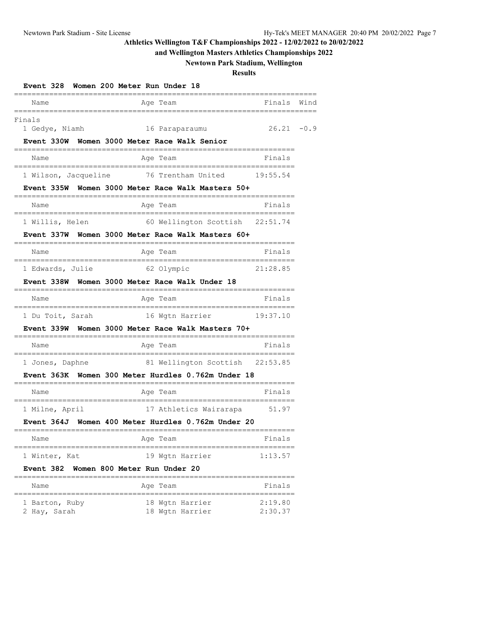## **and Wellington Masters Athletics Championships 2022**

# **Newtown Park Stadium, Wellington**

## **Results**

| Event 328                                           | Women 200 Meter Run Under 18                                                     |               |      |
|-----------------------------------------------------|----------------------------------------------------------------------------------|---------------|------|
| Name                                                | Age Team<br>========                                                             | Finals        | Wind |
| Finals<br>1 Gedye, Niamh                            | 16 Paraparaumu                                                                   | $26.21 - 0.9$ |      |
|                                                     | Event 330W Women 3000 Meter Race Walk Senior                                     |               |      |
| Name<br>;===================================        | Age Team<br>=========================                                            | Finals        |      |
|                                                     | 1 Wilson, Jacqueline 76 Trentham United 19:55.54                                 |               |      |
|                                                     | Event 335W Women 3000 Meter Race Walk Masters 50+<br>----------------            |               |      |
| Name<br>================================            | Age Team<br>======================                                               | Finals        |      |
| 1 Willis, Helen                                     | 60 Wellington Scottish 22:51.74                                                  |               |      |
|                                                     | Event 337W Women 3000 Meter Race Walk Masters 60+                                |               |      |
| Name                                                | Age Team                                                                         | Finals        |      |
| 1 Edwards, Julie                                    | 62 Olympic                                                                       | 21:28.85      |      |
|                                                     | Event 338W Women 3000 Meter Race Walk Under 18<br>------------------------------ |               |      |
| Name<br>------------------------------              | Age Team<br>;=============================                                       | Finals        |      |
| 1 Du Toit, Sarah                                    | 16 Wgtn Harrier                                                                  | 19:37.10      |      |
|                                                     | Event 339W  Women 3000 Meter Race Walk Masters 70+<br>=================          |               |      |
| Name<br>.__________________________________         | Age Team                                                                         | Finals        |      |
| 1 Jones, Daphne                                     | 81 Wellington Scottish 22:53.85                                                  |               |      |
|                                                     | Event 363K Women 300 Meter Hurdles 0.762m Under 18                               |               |      |
| Name                                                | Age Team                                                                         | Finals        |      |
| _________________________________<br>1 Milne, April | ============================<br>17 Athletics Wairarapa 51.97                     |               |      |
|                                                     | Event 364J Women 400 Meter Hurdles 0.762m Under 20                               |               |      |
| Name                                                | Age Team                                                                         | Finals        |      |
| 1 Winter, Kat                                       | 19 Wgtn Harrier                                                                  | 1:13.57       |      |
| Event 382                                           | Women 800 Meter Run Under 20                                                     |               |      |
| Name                                                | -----------------------<br>Age Team                                              | Finals        |      |
| 1 Barton, Ruby                                      | 18 Wgtn Harrier                                                                  | 2:19.80       |      |

2 Hay, Sarah 18 Wgtn Harrier 2:30.37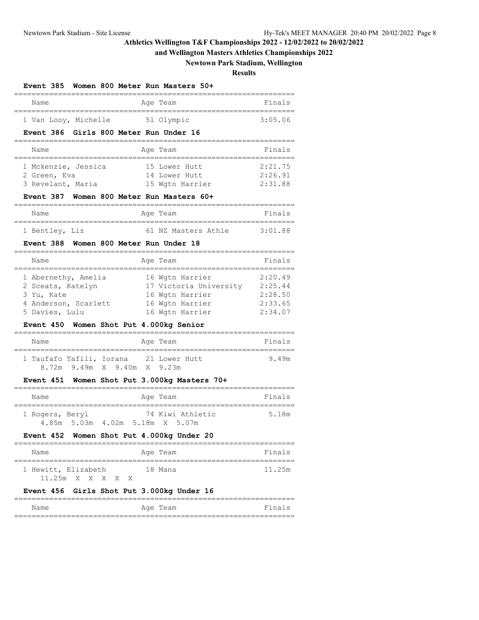# **and Wellington Masters Athletics Championships 2022**

# **Newtown Park Stadium, Wellington**

**Results**

| <b>Event 385</b><br>Women 800 Meter Run Masters 50+<br>====================            |                    |
|----------------------------------------------------------------------------------------|--------------------|
| Age Team<br>Name                                                                       | Finals             |
| ------------------------<br>1 Van Looy, Michelle<br>51 Olympic                         | 3:05.06            |
| Event 386 Girls 800 Meter Run Under 16                                                 |                    |
| Name<br>Age Team<br>-------------------------------------<br>;======================   | Finals             |
| 1 Mckenzie, Jessica<br>15 Lower Hutt                                                   | 2:21.75            |
| 14 Lower Hutt<br>2 Green, Eva                                                          | 2:26.91            |
| 3 Revelant, Maria<br>15 Wgtn Harrier                                                   | 2:31.88            |
| Women 800 Meter Run Masters 60+<br>Event 387<br>==============================         |                    |
| Age Team<br>Name<br>============================                                       | Finals             |
| 61 NZ Masters Athle 3:01.88<br>1 Bentley, Liz                                          |                    |
| Women 800 Meter Run Under 18<br>Event 388                                              |                    |
| Name<br>Age Team                                                                       | Finals             |
| ---------------------<br>===================<br>1 Abernethy, Amelia<br>16 Wgtn Harrier | 2:20.49            |
| 17 Victoria University 2:25.44<br>2 Sceats, Katelyn                                    |                    |
| 3 Yu, Kate<br>16 Wgtn Harrier                                                          | 2:28.50            |
| 4 Anderson, Scarlett<br>16 Wgtn Harrier<br>16 Wgtn Harrier<br>5 Davies, Lulu           | 2:33.65<br>2:34.07 |
| Event 450<br>Women Shot Put 4.000kg Senior                                             |                    |
|                                                                                        |                    |
| Name<br>Age Team                                                                       | Finals             |
| 1 Taufafo Tafili, Iorana 21 Lower Hutt                                                 | 9.49m              |
| 8.72m 9.49m X 9.40m X 9.23m                                                            |                    |
| Women Shot Put 3.000kg Masters 70+<br><b>Event 451</b>                                 |                    |
| Name<br>Age Team                                                                       | Finals             |
| 74 Kiwi Athletic<br>1 Rogers, Beryl                                                    | 5.18m              |
| 4.85m 5.03m 4.02m 5.18m X 5.07m                                                        |                    |
| Event 452 Women Shot Put 4.000kg Under 20                                              |                    |
| Name<br>Age Team<br>============================<br>,,,,,,,,,,,,,,,,,,,,,,,            | Finals             |
| 1 Hewitt, Elizabeth<br>18 Mana<br>11.25m X<br>X<br>X<br>X<br>X                         | 11.25m             |
| Event 456<br>Girls Shot Put 3.000kg Under 16                                           |                    |
| =========<br>Name<br>Age Team                                                          | Finals             |

================================================================